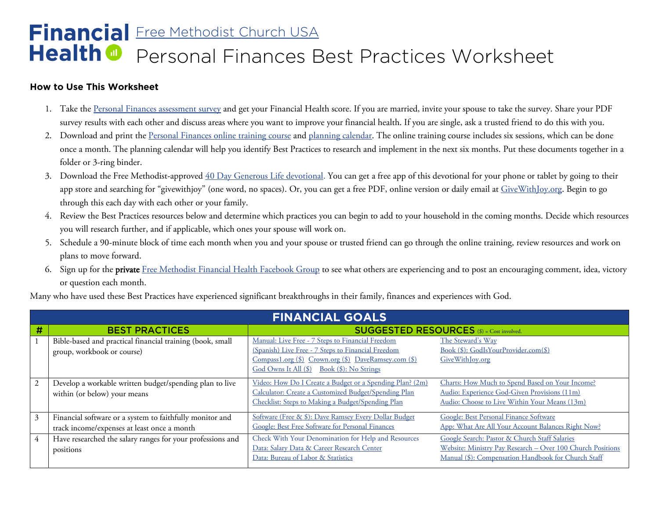## **Financial** [Free Methodist Church USA](http://fmcusa.org/financial-resources/) Personal Finances Best Practices Worksheet **Health @**

## **How to Use This Worksheet**

- 1. Take the Personal Finances [assessment survey](http://naefinancialhealth.org/pfsurvey) and get your Financial Health score. If you are married, invite your spouse to take the survey. Share your PDF survey results with each other and discuss areas where you want to improve your financial health. If you are single, ask a trusted friend to do this with you.
- 2. Download and print the [Personal Finances online training course](https://naefinancialhealth.org/fmcpftrainingcourse) and [planning calendar.](http://naefinancialhealth.org/fmcpfcalendar) The online training course includes six sessions, which can be done once a month. The planning calendar will help you identify Best Practices to research and implement in the next six months. Put these documents together in a folder or 3-ring binder.
- 3. Download the Free Methodist-approved  $40$  Day Generous Life devotional. You can get a free app of this devotional for your phone or tablet by going to their app store and searching for "givewithjoy" (one word, no spaces). Or, you can get a free PDF, online version or daily email at [GiveWithJoy.org.](http://www.givewithjoy.org/) Begin to go through this each day with each other or your family.
- 4. Review the Best Practices resources below and determine which practices you can begin to add to your household in the coming months. Decide which resources you will research further, and if applicable, which ones your spouse will work on.
- 5. Schedule a 90-minute block of time each month when you and your spouse or trusted friend can go through the online training, review resources and work on plans to move forward.
- 6. Sign up for the private [Free Methodist Financial Health Facebook Group](https://www.facebook.com/groups/FMCfinancialhealth/) to see what others are experiencing and to post an encouraging comment, idea, victory or question each month.

| <b>FINANCIAL GOALS</b> |                                                                                                         |                                                                                                                                                                                                              |                                                                                                                                                                    |  |  |  |
|------------------------|---------------------------------------------------------------------------------------------------------|--------------------------------------------------------------------------------------------------------------------------------------------------------------------------------------------------------------|--------------------------------------------------------------------------------------------------------------------------------------------------------------------|--|--|--|
| #                      | <b>BEST PRACTICES</b>                                                                                   | <b>SUGGESTED RESOURCES</b> (\$) = Cost involved.                                                                                                                                                             |                                                                                                                                                                    |  |  |  |
|                        | Bible-based and practical financial training (book, small<br>group, workbook or course)                 | Manual: Live Free - 7 Steps to Financial Freedom<br>(Spanish) Live Free - 7 Steps to Financial Freedom<br>Compass1.org (\$) Crown.org (\$) DaveRamsey.com (\$)<br>God Owns It All (\$) Book (\$): No Strings | The Steward's Way<br>Book (\$): GodIsYourProvider.com(\$)<br>GiveWithJoy.org                                                                                       |  |  |  |
|                        | Develop a workable written budget/spending plan to live<br>within (or below) your means                 | Video: How Do I Create a Budget or a Spending Plan? (2m)<br>Calculator: Create a Customized Budget/Spending Plan<br>Checklist: Steps to Making a Budget/Spending Plan                                        | Charts: How Much to Spend Based on Your Income?<br>Audio: Experience God-Given Provisions (11m)<br>Audio: Choose to Live Within Your Means (13m)                   |  |  |  |
| 3                      | Financial software or a system to faithfully monitor and<br>track income/expenses at least once a month | Software (Free & \$): Dave Ramsey Every Dollar Budget<br>Google: Best Free Software for Personal Finances                                                                                                    | Google: Best Personal Finance Software<br>App: What Are All Your Account Balances Right Now?                                                                       |  |  |  |
|                        | Have researched the salary ranges for your professions and<br>positions                                 | Check With Your Denomination for Help and Resources<br>Data: Salary Data & Career Research Center<br>Data: Bureau of Labor & Statistics                                                                      | Google Search: Pastor & Church Staff Salaries<br>Website: Ministry Pay Research - Over 100 Church Positions<br>Manual (\$): Compensation Handbook for Church Staff |  |  |  |

Many who have used these Best Practices have experienced significant breakthroughs in their family, finances and experiences with God.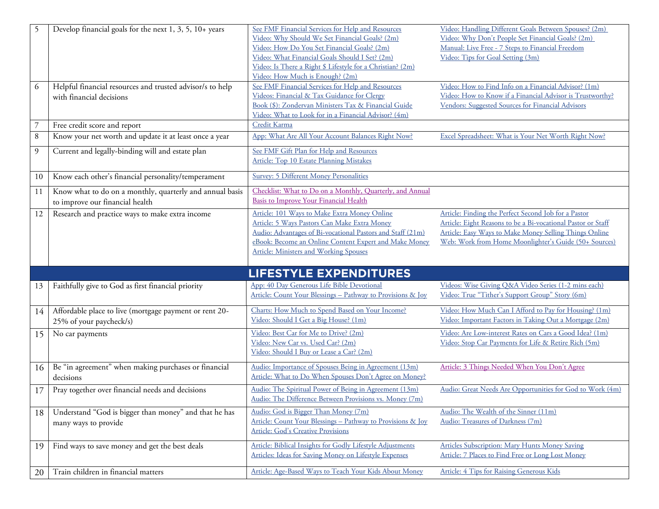| 5              | Develop financial goals for the next 1, 3, 5, 10+ years   | See FMF Financial Services for Help and Resources                                                         | Video: Handling Different Goals Between Spouses? (2m)                                                   |
|----------------|-----------------------------------------------------------|-----------------------------------------------------------------------------------------------------------|---------------------------------------------------------------------------------------------------------|
|                |                                                           | Video: Why Should We Set Financial Goals? (2m)                                                            | Video: Why Don't People Set Financial Goals? (2m)                                                       |
|                |                                                           | Video: How Do You Set Financial Goals? (2m)                                                               | Manual: Live Free - 7 Steps to Financial Freedom                                                        |
|                |                                                           | Video: What Financial Goals Should I Set? (2m)                                                            | Video: Tips for Goal Setting (3m)                                                                       |
|                |                                                           | Video: Is There a Right \$ Lifestyle for a Christian? (2m)                                                |                                                                                                         |
|                |                                                           | Video: How Much is Enough? (2m)                                                                           |                                                                                                         |
| 6              | Helpful financial resources and trusted advisor/s to help | See FMF Financial Services for Help and Resources                                                         | Video: How to Find Info on a Financial Advisor? (1m)                                                    |
|                | with financial decisions                                  | Videos: Financial & Tax Guidance for Clergy                                                               | Video: How to Know if a Financial Advisor is Trustworthy?                                               |
|                |                                                           | Book (\$): Zondervan Ministers Tax & Financial Guide                                                      | Vendors: Suggested Sources for Financial Advisors                                                       |
|                |                                                           | Video: What to Look for in a Financial Advisor? (4m)                                                      |                                                                                                         |
|                | Free credit score and report                              | Credit Karma                                                                                              |                                                                                                         |
| $\, 8$         | Know your net worth and update it at least once a year    | App: What Are All Your Account Balances Right Now?                                                        | Excel Spreadsheet: What is Your Net Worth Right Now?                                                    |
| $\overline{9}$ | Current and legally-binding will and estate plan          | See FMF Gift Plan for Help and Resources                                                                  |                                                                                                         |
|                |                                                           | Article: Top 10 Estate Planning Mistakes                                                                  |                                                                                                         |
|                |                                                           |                                                                                                           |                                                                                                         |
| 10             | Know each other's financial personality/temperament       | <b>Survey: 5 Different Money Personalities</b>                                                            |                                                                                                         |
| 11             | Know what to do on a monthly, quarterly and annual basis  | Checklist: What to Do on a Monthly, Quarterly, and Annual                                                 |                                                                                                         |
|                | to improve our financial health                           | Basis to Improve Your Financial Health                                                                    |                                                                                                         |
| 12             | Research and practice ways to make extra income           | Article: 101 Ways to Make Extra Money Online                                                              | Article: Finding the Perfect Second Job for a Pastor                                                    |
|                |                                                           | Article: 5 Ways Pastors Can Make Extra Money                                                              | Article: Eight Reasons to be a Bi-vocational Pastor or Staff                                            |
|                |                                                           | Audio: Advantages of Bi-vocational Pastors and Staff (21m)                                                | Article: Easy Ways to Make Money Selling Things Online                                                  |
|                |                                                           | eBook: Become an Online Content Expert and Make Money                                                     | Web: Work from Home Moonlighter's Guide (50+ Sources)                                                   |
|                |                                                           | <b>Article: Ministers and Working Spouses</b>                                                             |                                                                                                         |
|                |                                                           |                                                                                                           |                                                                                                         |
|                |                                                           |                                                                                                           |                                                                                                         |
|                |                                                           | <b>LIFESTYLE EXPENDITURES</b>                                                                             |                                                                                                         |
|                |                                                           |                                                                                                           |                                                                                                         |
| 13             | Faithfully give to God as first financial priority        | App: 40 Day Generous Life Bible Devotional<br>Article: Count Your Blessings - Pathway to Provisions & Joy | Videos: Wise Giving Q&A Video Series (1-2 mins each)<br>Video: True "Tither's Support Group" Story (6m) |
|                |                                                           |                                                                                                           |                                                                                                         |
| 14             | Affordable place to live (mortgage payment or rent 20-    | Charts: How Much to Spend Based on Your Income?                                                           | Video: How Much Can I Afford to Pay for Housing? (1m)                                                   |
|                | 25% of your paycheck/s)                                   | Video: Should I Get a Big House? (1m)                                                                     | Video: Important Factors in Taking Out a Mortgage (2m)                                                  |
|                |                                                           | Video: Best Car for Me to Drive? (2m)                                                                     | Video: Are Low-interest Rates on Cars a Good Idea? (1m)                                                 |
| 15             | No car payments                                           | Video: New Car vs. Used Car? (2m)                                                                         | Video: Stop Car Payments for Life & Retire Rich (5m)                                                    |
|                |                                                           | Video: Should I Buy or Lease a Car? (2m)                                                                  |                                                                                                         |
|                |                                                           |                                                                                                           |                                                                                                         |
| 16             | Be "in agreement" when making purchases or financial      | Audio: Importance of Spouses Being in Agreement (13m)                                                     | Article: 3 Things Needed When You Don't Agree                                                           |
|                | decisions                                                 | Article: What to Do When Spouses Don't Agree on Money?                                                    |                                                                                                         |
| 17             | Pray together over financial needs and decisions          | Audio: The Spiritual Power of Being in Agreement (13m)                                                    | Audio: Great Needs Are Opportunities for God to Work (4m)                                               |
|                |                                                           | Audio: The Difference Between Provisions vs. Money (7m)                                                   |                                                                                                         |
| 18             | Understand "God is bigger than money" and that he has     | Audio: God is Bigger Than Money (7m)                                                                      | Audio: The Wealth of the Sinner (11m)                                                                   |
|                |                                                           | Article: Count Your Blessings - Pathway to Provisions & Joy                                               | Audio: Treasures of Darkness (7m)                                                                       |
|                | many ways to provide                                      | <b>Article: God's Creative Provisions</b>                                                                 |                                                                                                         |
|                |                                                           |                                                                                                           |                                                                                                         |
| 19             | Find ways to save money and get the best deals            | Article: Biblical Insights for Godly Lifestyle Adjustments                                                | <b>Articles Subscription: Mary Hunts Money Saving</b>                                                   |
|                |                                                           | Articles: Ideas for Saving Money on Lifestyle Expenses                                                    | Article: 7 Places to Find Free or Long Lost Money                                                       |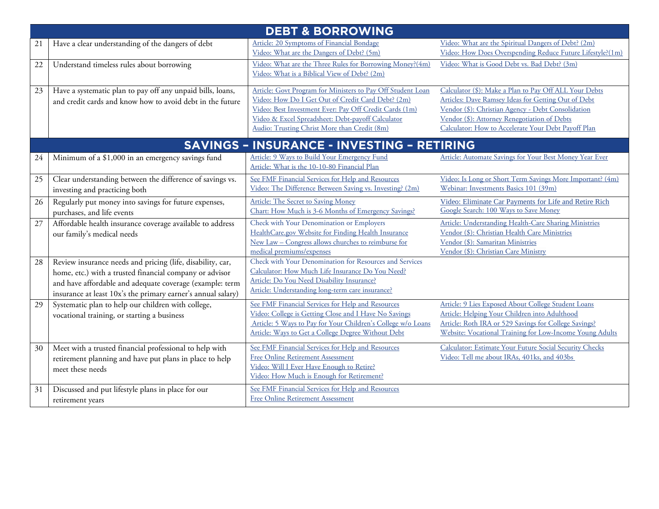| <b>DEBT &amp; BORROWING</b> |                                                                                                                                                                                                                                                   |                                                                                                                                                                                                                                                                                 |                                                                                                                                                                                                                                                                            |  |
|-----------------------------|---------------------------------------------------------------------------------------------------------------------------------------------------------------------------------------------------------------------------------------------------|---------------------------------------------------------------------------------------------------------------------------------------------------------------------------------------------------------------------------------------------------------------------------------|----------------------------------------------------------------------------------------------------------------------------------------------------------------------------------------------------------------------------------------------------------------------------|--|
| 21                          | Have a clear understanding of the dangers of debt                                                                                                                                                                                                 | Article: 20 Symptoms of Financial Bondage<br>Video: What are the Dangers of Debt? (5m)                                                                                                                                                                                          | Video: What are the Spiritual Dangers of Debt? (2m)<br>Video: How Does Overspending Reduce Future Lifestyle?(1m)                                                                                                                                                           |  |
| 22                          | Understand timeless rules about borrowing                                                                                                                                                                                                         | Video: What are the Three Rules for Borrowing Money?(4m)<br>Video: What is a Biblical View of Debt? (2m)                                                                                                                                                                        | Video: What is Good Debt vs. Bad Debt? (3m)                                                                                                                                                                                                                                |  |
| 23                          | Have a systematic plan to pay off any unpaid bills, loans,<br>and credit cards and know how to avoid debt in the future                                                                                                                           | Article: Govt Program for Ministers to Pay Off Student Loan<br>Video: How Do I Get Out of Credit Card Debt? (2m)<br>Video: Best Investment Ever: Pay Off Credit Cards (1m)<br>Video & Excel Spreadsheet: Debt-payoff Calculator<br>Audio: Trusting Christ More than Credit (8m) | Calculator (\$): Make a Plan to Pay Off ALL Your Debts<br>Articles: Dave Ramsey Ideas for Getting Out of Debt<br>Vendor (\$): Christian Agency - Debt Consolidation<br>Vendor (\$): Attorney Renegotiation of Debts<br>Calculator: How to Accelerate Your Debt Payoff Plan |  |
|                             |                                                                                                                                                                                                                                                   | <b>SAVINGS - INSURANCE - INVESTING - RETIRING</b>                                                                                                                                                                                                                               |                                                                                                                                                                                                                                                                            |  |
| 24                          | Minimum of a \$1,000 in an emergency savings fund                                                                                                                                                                                                 | Article: 9 Ways to Build Your Emergency Fund<br>Article: What is the 10-10-80 Financial Plan                                                                                                                                                                                    | Article: Automate Savings for Your Best Money Year Ever                                                                                                                                                                                                                    |  |
| 25                          | Clear understanding between the difference of savings vs.<br>investing and practicing both                                                                                                                                                        | See FMF Financial Services for Help and Resources<br>Video: The Difference Between Saving vs. Investing? (2m)                                                                                                                                                                   | Video: Is Long or Short Term Savings More Important? (4m)<br>Webinar: Investments Basics 101 (39m)                                                                                                                                                                         |  |
| 26                          | Regularly put money into savings for future expenses,<br>purchases, and life events                                                                                                                                                               | Article: The Secret to Saving Money<br>Chart: How Much is 3-6 Months of Emergency Savings?                                                                                                                                                                                      | Video: Eliminate Car Payments for Life and Retire Rich<br>Google Search: 100 Ways to Save Money                                                                                                                                                                            |  |
| 27                          | Affordable health insurance coverage available to address<br>our family's medical needs                                                                                                                                                           | Check with Your Denomination or Employers<br>HealthCare.gov Website for Finding Health Insurance<br>New Law - Congress allows churches to reimburse for<br>medical premiums/expenses                                                                                            | Article: Understanding Health-Care Sharing Ministries<br>Vendor (\$): Christian Health Care Ministries<br>Vendor (\$): Samaritan Ministries<br>Vendor (\$): Christian Care Ministry                                                                                        |  |
| 28                          | Review insurance needs and pricing (life, disability, car,<br>home, etc.) with a trusted financial company or advisor<br>and have affordable and adequate coverage (example: term<br>insurance at least 10x's the primary earner's annual salary) | Check with Your Denomination for Resources and Services<br>Calculator: How Much Life Insurance Do You Need?<br>Article: Do You Need Disability Insurance?<br>Article: Understanding long-term care insurance?                                                                   |                                                                                                                                                                                                                                                                            |  |
| 29                          | Systematic plan to help our children with college,<br>vocational training, or starting a business                                                                                                                                                 | See FMF Financial Services for Help and Resources<br>Video: College is Getting Close and I Have No Savings<br>Article: 5 Ways to Pay for Your Children's College w/o Loans<br>Article: Ways to Get a College Degree Without Debt                                                | Article: 9 Lies Exposed About College Student Loans<br>Article: Helping Your Children into Adulthood<br>Article: Roth IRA or 529 Savings for College Savings?<br>Website: Vocational Training for Low-Income Young Adults                                                  |  |
| 30                          | Meet with a trusted financial professional to help with<br>retirement planning and have put plans in place to help<br>meet these needs                                                                                                            | See FMF Financial Services for Help and Resources<br>Free Online Retirement Assessment<br>Video: Will I Ever Have Enough to Retire?<br>Video: How Much is Enough for Retirement?                                                                                                | Calculator: Estimate Your Future Social Security Checks<br>Video: Tell me about IRAs, 401ks, and 403bs                                                                                                                                                                     |  |
| 31                          | Discussed and put lifestyle plans in place for our<br>retirement years                                                                                                                                                                            | See FMF Financial Services for Help and Resources<br>Free Online Retirement Assessment                                                                                                                                                                                          |                                                                                                                                                                                                                                                                            |  |